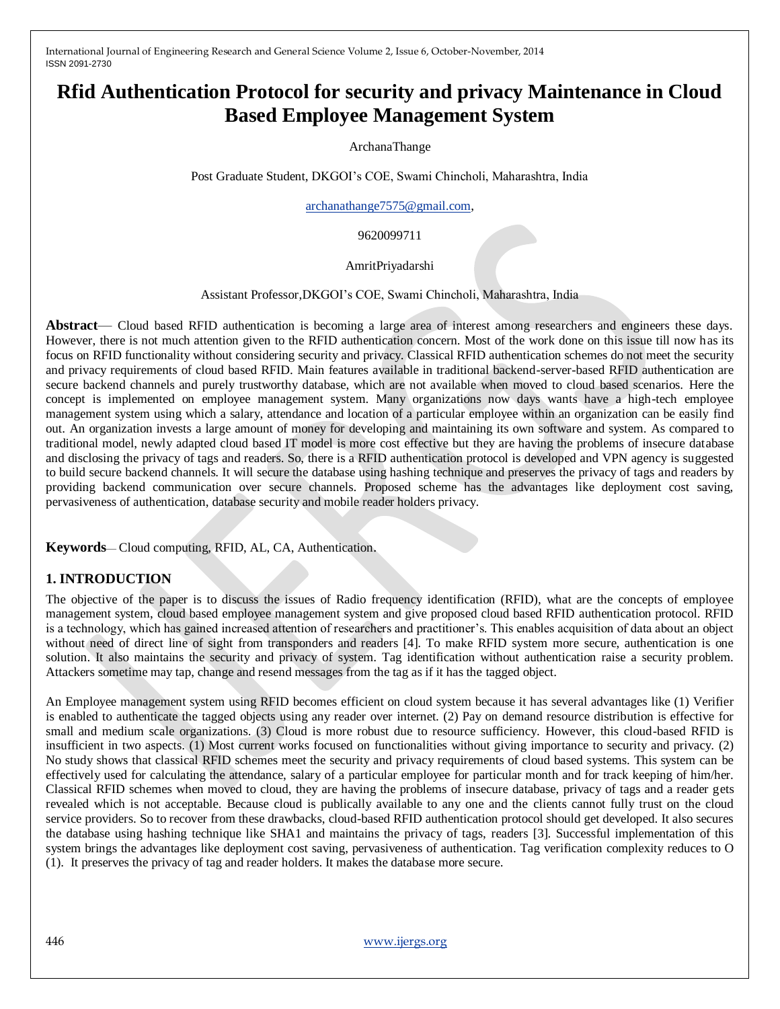# **Rfid Authentication Protocol for security and privacy Maintenance in Cloud Based Employee Management System**

ArchanaThange

Post Graduate Student, DKGOI's COE, Swami Chincholi, Maharashtra, India

[archanathange7575@gmail.com,](mailto:archanathange7575@gmail.com)

9620099711

#### AmritPriyadarshi

Assistant Professor,DKGOI's COE, Swami Chincholi, Maharashtra, India

**Abstract**— Cloud based RFID authentication is becoming a large area of interest among researchers and engineers these days. However, there is not much attention given to the RFID authentication concern. Most of the work done on this issue till now has its focus on RFID functionality without considering security and privacy. Classical RFID authentication schemes do not meet the security and privacy requirements of cloud based RFID. Main features available in traditional backend-server-based RFID authentication are secure backend channels and purely trustworthy database, which are not available when moved to cloud based scenarios. Here the concept is implemented on employee management system. Many organizations now days wants have a high-tech employee management system using which a salary, attendance and location of a particular employee within an organization can be easily find out. An organization invests a large amount of money for developing and maintaining its own software and system. As compared to traditional model, newly adapted cloud based IT model is more cost effective but they are having the problems of insecure database and disclosing the privacy of tags and readers. So, there is a RFID authentication protocol is developed and VPN agency is suggested to build secure backend channels. It will secure the database using hashing technique and preserves the privacy of tags and readers by providing backend communication over secure channels. Proposed scheme has the advantages like deployment cost saving, pervasiveness of authentication, database security and mobile reader holders privacy.

**Keywords**— Cloud computing, RFID, AL, CA, Authentication.

# **1. INTRODUCTION**

The objective of the paper is to discuss the issues of Radio frequency identification (RFID), what are the concepts of employee management system, cloud based employee management system and give proposed cloud based RFID authentication protocol. RFID is a technology, which has gained increased attention of researchers and practitioner's. This enables acquisition of data about an object without need of direct line of sight from transponders and readers [4]. To make RFID system more secure, authentication is one solution. It also maintains the security and privacy of system. Tag identification without authentication raise a security problem. Attackers sometime may tap, change and resend messages from the tag as if it has the tagged object.

An Employee management system using RFID becomes efficient on cloud system because it has several advantages like (1) Verifier is enabled to authenticate the tagged objects using any reader over internet. (2) Pay on demand resource distribution is effective for small and medium scale organizations. (3) Cloud is more robust due to resource sufficiency. However, this cloud-based RFID is insufficient in two aspects. (1) Most current works focused on functionalities without giving importance to security and privacy. (2) No study shows that classical RFID schemes meet the security and privacy requirements of cloud based systems. This system can be effectively used for calculating the attendance, salary of a particular employee for particular month and for track keeping of him/her. Classical RFID schemes when moved to cloud, they are having the problems of insecure database, privacy of tags and a reader gets revealed which is not acceptable. Because cloud is publically available to any one and the clients cannot fully trust on the cloud service providers. So to recover from these drawbacks, cloud-based RFID authentication protocol should get developed. It also secures the database using hashing technique like SHA1 and maintains the privacy of tags, readers [3]. Successful implementation of this system brings the advantages like deployment cost saving, pervasiveness of authentication. Tag verification complexity reduces to O (1). It preserves the privacy of tag and reader holders. It makes the database more secure.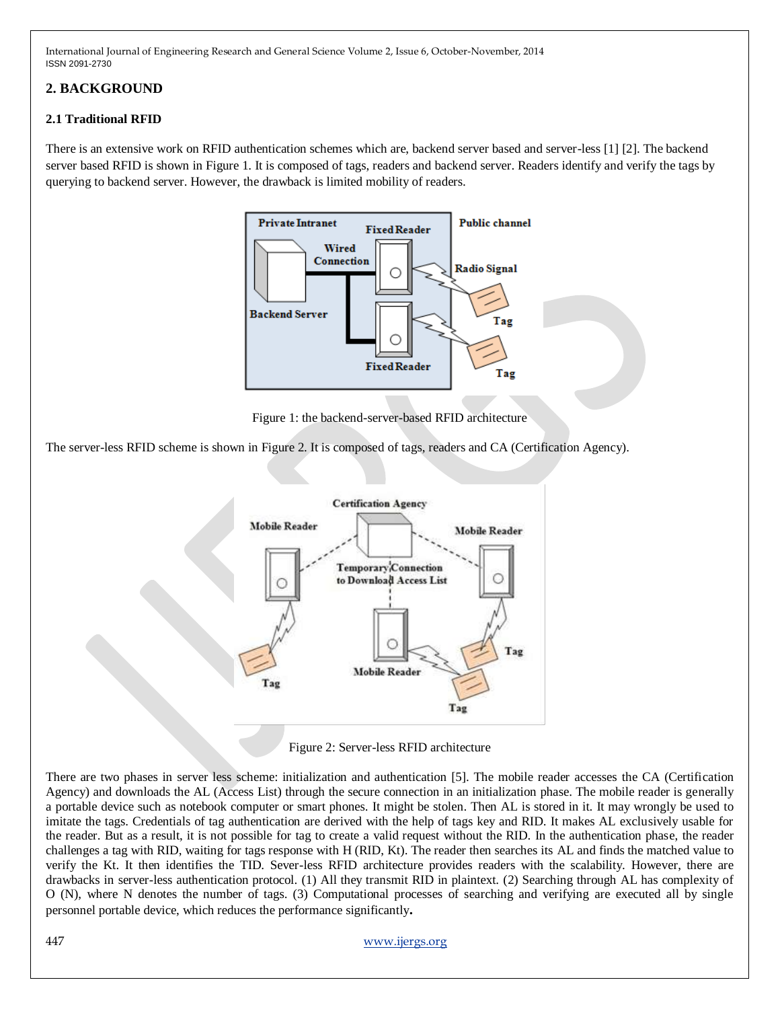# **2. BACKGROUND**

# **2.1 Traditional RFID**

There is an extensive work on RFID authentication schemes which are, backend server based and server-less [1] [2]. The backend server based RFID is shown in Figure 1. It is composed of tags, readers and backend server. Readers identify and verify the tags by querying to backend server. However, the drawback is limited mobility of readers.



Figure 1: the backend-server-based RFID architecture

The server-less RFID scheme is shown in Figure 2. It is composed of tags, readers and CA (Certification Agency).



Figure 2: Server-less RFID architecture

There are two phases in server less scheme: initialization and authentication [5]. The mobile reader accesses the CA (Certification Agency) and downloads the AL (Access List) through the secure connection in an initialization phase. The mobile reader is generally a portable device such as notebook computer or smart phones. It might be stolen. Then AL is stored in it. It may wrongly be used to imitate the tags. Credentials of tag authentication are derived with the help of tags key and RID. It makes AL exclusively usable for the reader. But as a result, it is not possible for tag to create a valid request without the RID. In the authentication phase, the reader challenges a tag with RID, waiting for tags response with H (RID, Kt). The reader then searches its AL and finds the matched value to verify the Kt. It then identifies the TID. Sever-less RFID architecture provides readers with the scalability. However, there are drawbacks in server-less authentication protocol. (1) All they transmit RID in plaintext. (2) Searching through AL has complexity of O (N), where N denotes the number of tags. (3) Computational processes of searching and verifying are executed all by single personnel portable device, which reduces the performance significantly**.**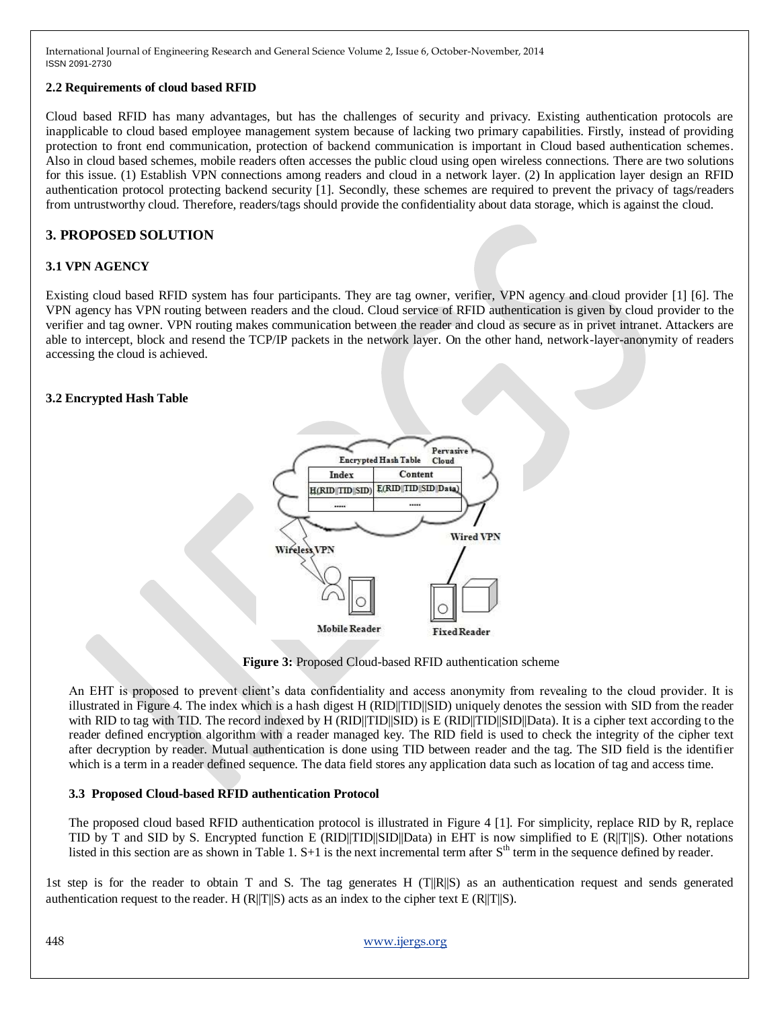# **2.2 Requirements of cloud based RFID**

Cloud based RFID has many advantages, but has the challenges of security and privacy. Existing authentication protocols are inapplicable to cloud based employee management system because of lacking two primary capabilities. Firstly, instead of providing protection to front end communication, protection of backend communication is important in Cloud based authentication schemes. Also in cloud based schemes, mobile readers often accesses the public cloud using open wireless connections. There are two solutions for this issue. (1) Establish VPN connections among readers and cloud in a network layer. (2) In application layer design an RFID authentication protocol protecting backend security [1]. Secondly, these schemes are required to prevent the privacy of tags/readers from untrustworthy cloud. Therefore, readers/tags should provide the confidentiality about data storage, which is against the cloud.

# **3. PROPOSED SOLUTION**

# **3.1 VPN AGENCY**

Existing cloud based RFID system has four participants. They are tag owner, verifier, VPN agency and cloud provider [1] [6]. The VPN agency has VPN routing between readers and the cloud. Cloud service of RFID authentication is given by cloud provider to the verifier and tag owner. VPN routing makes communication between the reader and cloud as secure as in privet intranet. Attackers are able to intercept, block and resend the TCP/IP packets in the network layer. On the other hand, network-layer-anonymity of readers accessing the cloud is achieved.

# **3.2 Encrypted Hash Table**



**Figure 3:** Proposed Cloud-based RFID authentication scheme

An EHT is proposed to prevent client's data confidentiality and access anonymity from revealing to the cloud provider. It is illustrated in Figure 4. The index which is a hash digest H (RID||TID||SID) uniquely denotes the session with SID from the reader with RID to tag with TID. The record indexed by H (RID||TID||SID) is E (RID||TID||SID||Data). It is a cipher text according to the reader defined encryption algorithm with a reader managed key. The RID field is used to check the integrity of the cipher text after decryption by reader. Mutual authentication is done using TID between reader and the tag. The SID field is the identifier which is a term in a reader defined sequence. The data field stores any application data such as location of tag and access time.

### **3.3 Proposed Cloud-based RFID authentication Protocol**

The proposed cloud based RFID authentication protocol is illustrated in Figure 4 [1]. For simplicity, replace RID by R, replace TID by T and SID by S. Encrypted function E (RID||TID||SID||Data) in EHT is now simplified to E (R||T||S). Other notations listed in this section are as shown in Table 1.  $S+1$  is the next incremental term after  $S<sup>th</sup>$  term in the sequence defined by reader.

1st step is for the reader to obtain T and S. The tag generates H  $(T||R||S)$  as an authentication request and sends generated authentication request to the reader. H (R||T||S) acts as an index to the cipher text E (R||T||S).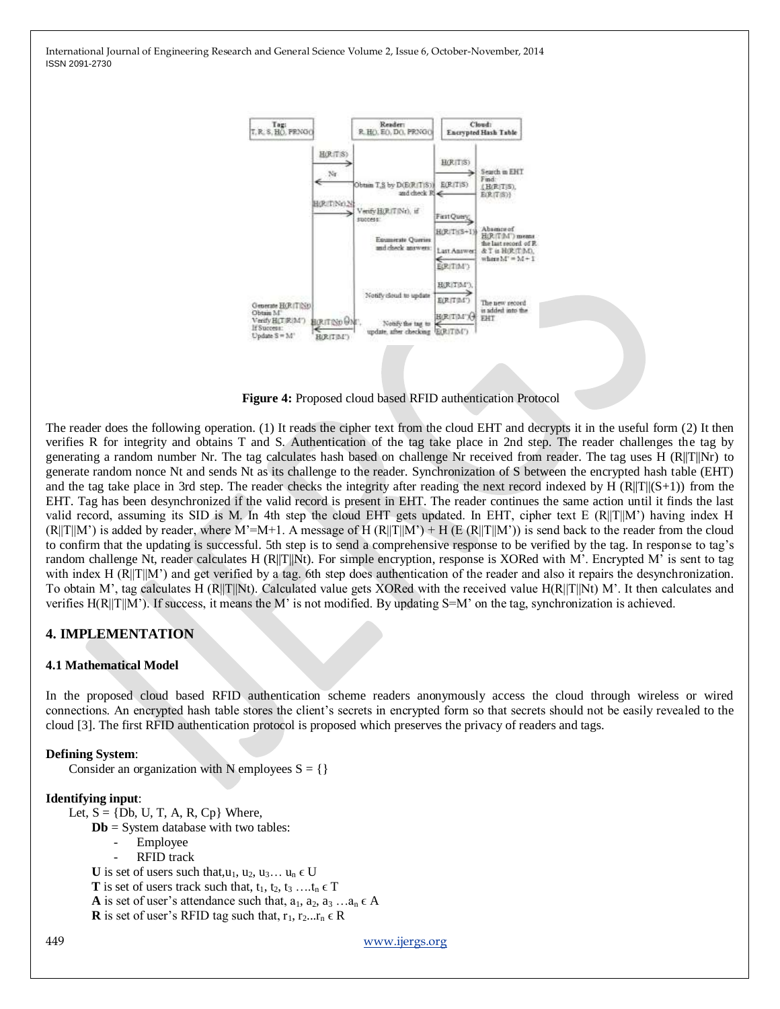

**Figure 4:** Proposed cloud based RFID authentication Protocol

The reader does the following operation. (1) It reads the cipher text from the cloud EHT and decrypts it in the useful form (2) It then verifies R for integrity and obtains T and S. Authentication of the tag take place in 2nd step. The reader challenges the tag by generating a random number Nr. The tag calculates hash based on challenge Nr received from reader. The tag uses H (R||T||Nr) to generate random nonce Nt and sends Nt as its challenge to the reader. Synchronization of S between the encrypted hash table (EHT) and the tag take place in 3rd step. The reader checks the integrity after reading the next record indexed by H  $(R||T||(S+1))$  from the EHT. Tag has been desynchronized if the valid record is present in EHT. The reader continues the same action until it finds the last valid record, assuming its SID is M. In 4th step the cloud EHT gets updated. In EHT, cipher text E  $(R||T||M')$  having index H  $(R||T||M')$  is added by reader, where M'=M+1. A message of H  $(R||T||M') + H$  (E  $(R||T||M')$ ) is send back to the reader from the cloud to confirm that the updating is successful. 5th step is to send a comprehensive response to be verified by the tag. In response to tag's random challenge Nt, reader calculates H (R||T||Nt). For simple encryption, response is XORed with M'. Encrypted M' is sent to tag with index H (R||T||M') and get verified by a tag. 6th step does authentication of the reader and also it repairs the desynchronization. To obtain M', tag calculates H ( $\overline{R}$ ||T||Nt). Calculated value gets XORed with the received value H( $\overline{R}$ ||T||Nt) M'. It then calculates and verifies  $H(R||T||M')$ . If success, it means the M' is not modified. By updating S=M' on the tag, synchronization is achieved.

# **4. IMPLEMENTATION**

### **4.1 Mathematical Model**

In the proposed cloud based RFID authentication scheme readers anonymously access the cloud through wireless or wired connections. An encrypted hash table stores the client's secrets in encrypted form so that secrets should not be easily revealed to the cloud [3]. The first RFID authentication protocol is proposed which preserves the privacy of readers and tags.

#### **Defining System**:

Consider an organization with N employees  $S = \{\}$ 

#### **Identifying input**:

- Let,  $S = \{Db, U, T, A, R, Cp\}$  Where,
	- **Db** = System database with two tables:
		- Employee
		- RFID track

 $\mathbf U$  is set of users such that,<br>u<sub>1</sub>, u<sub>2</sub>, u<sub>3</sub>… u<sub>n</sub>  $\in \mathbf U$ 

**T** is set of users track such that,  $t_1, t_2, t_3, \ldots, t_n \in T$ 

**A** is set of user's attendance such that,  $a_1, a_2, a_3, \ldots, a_n \in A$ 

```
R is set of user's RFID tag such that, r_1, r_2...r_n \in R
```
449 [www.ijergs.org](http://www.ijergs.org/)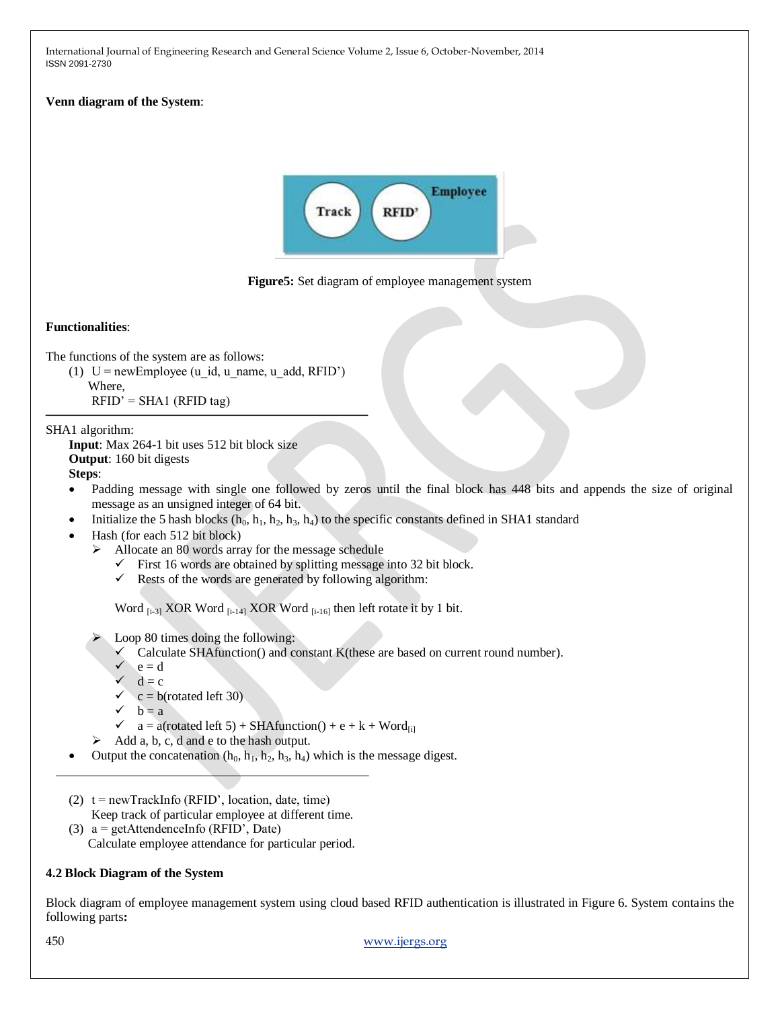### **Venn diagram of the System**:





### **Functionalities**:

The functions of the system are as follows:

- (1)  $U = newEmployee (u id, u name, u add, RFID')$ 
	- Where,
	- $RFID' = SHA1 (RFID tag)$

### SHA1 algorithm:

**Input**: Max 264-1 bit uses 512 bit block size **Output**: 160 bit digests **Steps**:

- Padding message with single one followed by zeros until the final block has 448 bits and appends the size of original message as an unsigned integer of 64 bit.
- Initialize the 5 hash blocks  $(h_0, h_1, h_2, h_3, h_4)$  to the specific constants defined in SHA1 standard
- Hash (for each 512 bit block)
	- $\blacktriangleright$  Allocate an 80 words array for the message schedule
		- $\checkmark$  First 16 words are obtained by splitting message into 32 bit block.
		- $\checkmark$  Rests of the words are generated by following algorithm:

Word  $_{[i-3]}$  XOR Word  $_{[i-14]}$  XOR Word  $_{[i-16]}$  then left rotate it by 1 bit.

Loop 80 times doing the following:

- $\checkmark$  Calculate SHAfunction() and constant K(these are based on current round number).
- $\angle$  e = d
- $\checkmark$  d = c
- $c = b$ (rotated left 30)
- $\checkmark$  b = a
- $\checkmark$  a = a(rotated left 5) + SHA function() + e + k + Word<sub>fil</sub>
- $\triangleright$  Add a, b, c, d and e to the hash output.
- Output the concatenation  $(h_0, h_1, h_2, h_3, h_4)$  which is the message digest.
- (2)  $t = newTrackInfo (RFID', location, date, time)$ Keep track of particular employee at different time.
- (3)  $a = get$ AttendenceInfo (RFID', Date) Calculate employee attendance for particular period.

# **4.2 Block Diagram of the System**

Block diagram of employee management system using cloud based RFID authentication is illustrated in Figure 6. System contains the following parts**:**

450 [www.ijergs.org](http://www.ijergs.org/)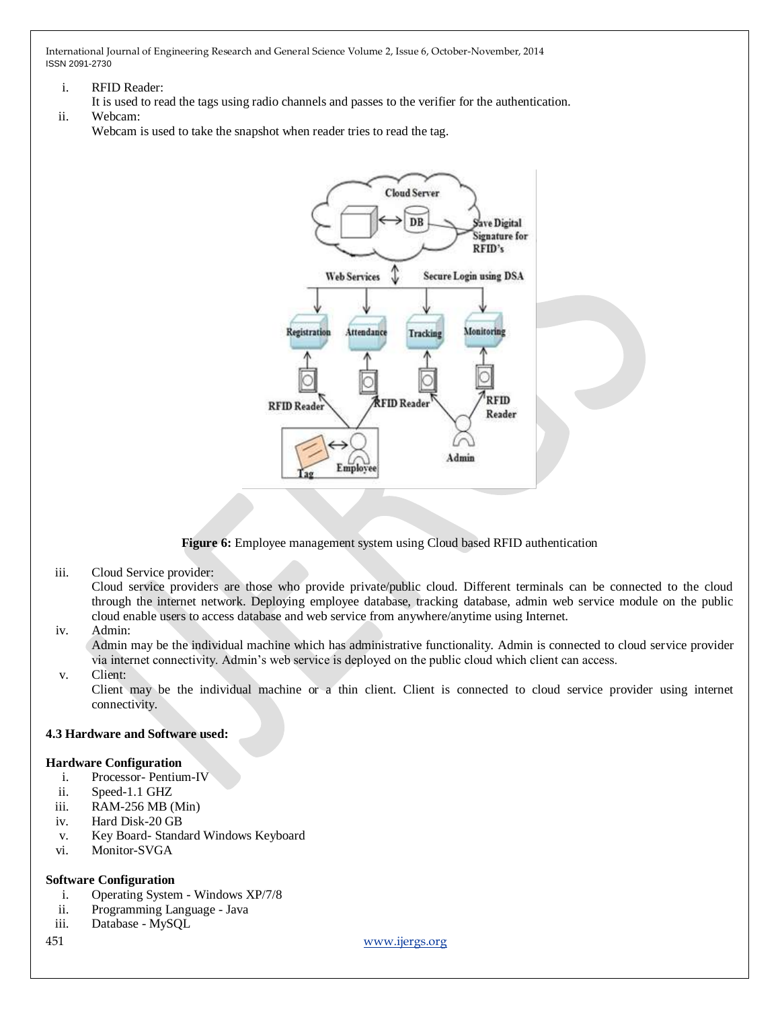- i. RFID Reader:
- It is used to read the tags using radio channels and passes to the verifier for the authentication.
- ii. Webcam:

Webcam is used to take the snapshot when reader tries to read the tag.



**Figure 6:** Employee management system using Cloud based RFID authentication

iii. Cloud Service provider:

Cloud service providers are those who provide private/public cloud. Different terminals can be connected to the cloud through the internet network. Deploying employee database, tracking database, admin web service module on the public cloud enable users to access database and web service from anywhere/anytime using Internet.

iv. Admin:

Admin may be the individual machine which has administrative functionality. Admin is connected to cloud service provider via internet connectivity. Admin's web service is deployed on the public cloud which client can access.

v. Client:

Client may be the individual machine or a thin client. Client is connected to cloud service provider using internet connectivity.

### **4.3 Hardware and Software used:**

### **Hardware Configuration**

- i. Processor- Pentium-IV
- ii. Speed-1.1 GHZ
- iii. RAM-256 MB (Min)
- iv. Hard Disk-20 GB
- v. Key Board- Standard Windows Keyboard
- vi. Monitor-SVGA

### **Software Configuration**

- i. Operating System Windows XP/7/8
- ii. Programming Language Java
- iii. Database MySQL
- 

451 [www.ijergs.org](http://www.ijergs.org/)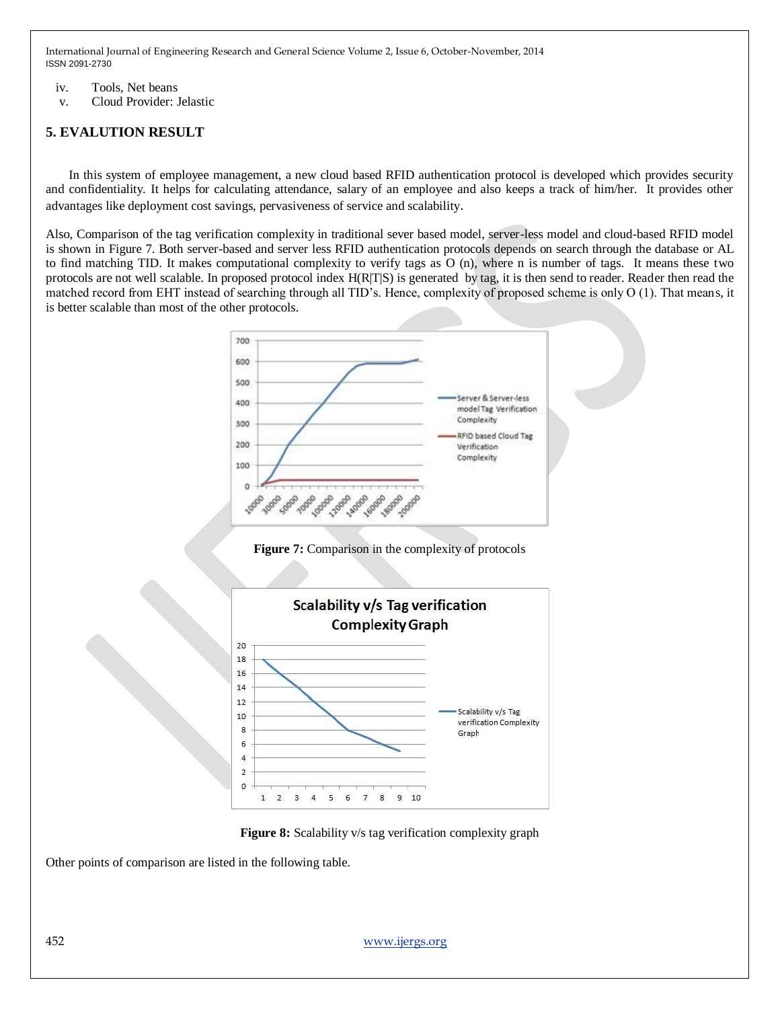- iv. Tools, Net beans
- v. Cloud Provider: Jelastic

# **5. EVALUTION RESULT**

In this system of employee management, a new cloud based RFID authentication protocol is developed which provides security and confidentiality. It helps for calculating attendance, salary of an employee and also keeps a track of him/her. It provides other advantages like deployment cost savings, pervasiveness of service and scalability.

Also, Comparison of the tag verification complexity in traditional sever based model, server-less model and cloud-based RFID model is shown in Figure 7. Both server-based and server less RFID authentication protocols depends on search through the database or AL to find matching TID. It makes computational complexity to verify tags as O (n), where n is number of tags. It means these two protocols are not well scalable. In proposed protocol index H(R|T|S) is generated by tag, it is then send to reader. Reader then read the matched record from EHT instead of searching through all TID's. Hence, complexity of proposed scheme is only O (1). That means, it is better scalable than most of the other protocols.









Other points of comparison are listed in the following table.